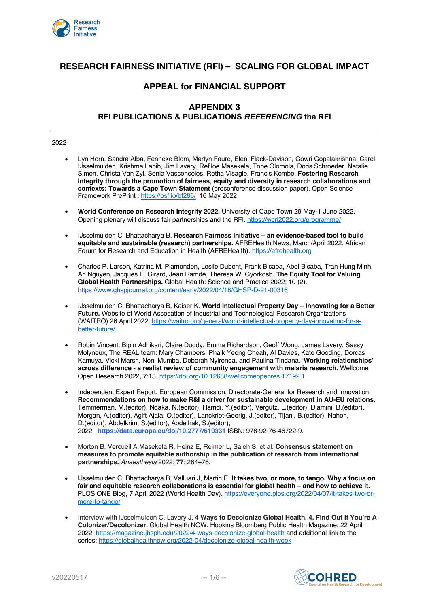

# **RESEARCH FAIRNESS INITIATIVE (RFI) – SCALING FOR GLOBAL IMPACT**

## **APPEAL for FINANCIAL SUPPORT**

## **APPENDIX 3 RFI PUBLICATIONS & PUBLICATIONS** *REFERENCING* **the RFI**

- Lyn Horn, Sandra Alba, Fenneke Blom, Marlyn Faure, Eleni Flack-Davison, Gowri Gopalakrishna, Carel IJsselmuiden, Krishma Labib, Jim Lavery, Refiloe Masekela, Tope Olomola, Doris Schroeder, Natalie Simon, Christa Van Zyl, Sonia Vasconcelos, Retha Visagie, Francis Kombe. **Fostering Research Integrity through the promotion of fairness, equity and diversity in research collaborations and contexts: Towards a Cape Town Statement** (preconference discussion paper). Open Science Framework PrePrint : https://osf.io/bf286/ 16 May 2022
- **World Conference on Research Integrity 2022.** University of Cape Town 29 May-1 June 2022. Opening plenary will discuss fair partnerships and the RFI. https://wcri2022.org/programme/
- IJsselmuiden C, Bhattacharya B. **Research Fairness Initiative – an evidence-based tool to build equitable and sustainable (research) partnerships.** AFREHealth News, March/April 2022. African Forum for Research and Education in Health (AFREHealth). https://afrehealth.org
- Charles P. Larson, Katrina M. Plamondon, Leslie Dubent, Frank Bicaba, Abel Bicaba, Tran Hung Minh, An Nguyen, Jacques E. Girard, Jean Ramdé, Theresa W. Gyorkosb. **The Equity Tool for Valuing Global Health Partnerships.** Global Health: Science and Practice 2022; 10 (2). https://www.ghspjournal.org/content/early/2022/04/18/GHSP-D-21-00316
- IJsselmuiden C, Bhattacharya B, Kaiser K. **World Intellectual Property Day – Innovating for a Better Future.** Website of World Assocation of Industrial and Technological Research Organizations (WAITRO) 26 April 2022. https://waitro.org/general/world-intellectual-property-day-innovating-for-abetter-future/
- Robin Vincent, Bipin Adhikari, Claire Duddy, Emma Richardson, Geoff Wong, James Lavery, Sassy Molyneux, The REAL team: Mary Chambers, Phaik Yeong Cheah, Al Davies, Kate Gooding, Dorcas Kamuya, Vicki Marsh, Noni Mumba, Deborah Nyirenda, and Paulina Tindana. '**Working relationships' across difference - a realist review of community engagement with malaria research.** Wellcome Open Research 2022, 7:13. https://doi.org/10.12688/wellcomeopenres.17192.1
- Independent Expert Report. European Commission, Directorate-General for Research and Innovation. **Recommendations on how to make R&I a driver for sustainable development in AU-EU relations.** Temmerman, M.(editor), Ndaka, N.(editor), Hamdi, Y.(editor), Vergütz, L.(editor), Dlamini, B.(editor), Morgan, A.(editor), Agift Ajala, O.(editor), Lanckriet-Goerig, J.(editor), Tijani, B.(editor), Nahon, D.(editor), Abdelkrim, S.(editor), Abdelhak, S.(editor), 2022. **https://data.europa.eu/doi/10.2777/619331** ISBN: 978-92-76-46722-9.
- Morton B, Vercueil A,Masekela R, Heinz E, Reimer L, Saleh S, et al. **Consensus statement on measures to promote equitable authorship in the publication of research from international partnerships.** *Anaesthesia* 2022; **77**: 264–76.
- IJsselmuiden C, Bhattacharya B, Valluari J, Martin E. I**t takes two, or more, to tango. Why a focus on fair and equitable research collaborations is essential for global health – and how to achieve it.** PLOS ONE Blog, 7 April 2022 (World Health Day). https://everyone.plos.org/2022/04/07/it-takes-two-ormore-to-tango/
- Interview with IJsselmuiden C, Lavery J. **4 Ways to Decolonize Global Health. 4. Find Out If You're A Colonizer/Decolonizer.** Global Health NOW. Hopkins Bloomberg Public Health Magazine, 22 April 2022. https://magazine.jhsph.edu/2022/4-ways-decolonize-global-health and additional link to the series: https://globalhealthnow.org/2022-04/decolonize-global-health-week

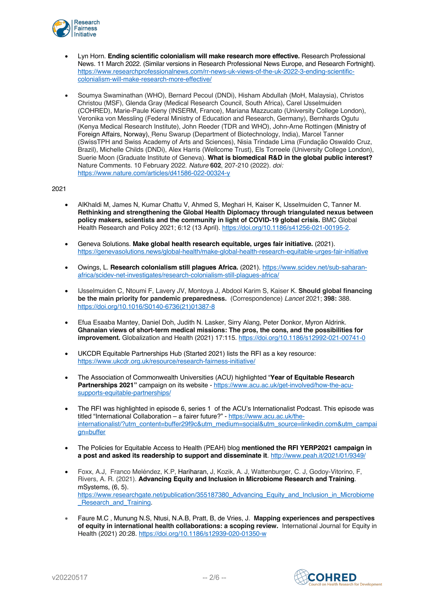

- Lyn Horn. **Ending scientific colonialism will make research more effective.** Research Professional News. 11 March 2022. (Similar versions in Research Professional News Europe, and Research Fortnight). https://www.researchprofessionalnews.com/rr-news-uk-views-of-the-uk-2022-3-ending-scientificcolonialism-will-make-research-more-effective/
- Soumya Swaminathan (WHO), Bernard Pecoul (DNDi), Hisham Abdullah (MoH, Malaysia), Christos Christou (MSF), Glenda Gray (Medical Research Council, South Africa), Carel IJsselmuiden (COHRED), Marie-Paule Kieny (INSERM, France), Mariana Mazzucato (University College London), Veronika von Messling (Federal Ministry of Education and Research, Germany), Bernhards Ogutu (Kenya Medical Research Institute), John Reeder (TDR and WHO), John-Arne Rottingen (Ministry of Foreign Affairs, Norway), Renu Swarup (Department of Biotechnology, India), Marcel Tanner (SwissTPH and Swiss Academy of Arts and Sciences), Nisia Trindade Lima (Fundação Oswaldo Cruz, Brazil), Michelle Childs (DNDi), Alex Harris (Wellcome Trust), Els Torreele (University College London), Suerie Moon (Graduate Institute of Geneva). **What is biomedical R&D in the global public interest?** Nature Comments. 10 February 2022. *Nature* **602**, 207-210 (2022). *doi:*  https://www.nature.com/articles/d41586-022-00324-y

- AlKhaldi M, James N, Kumar Chattu V, Ahmed S, Meghari H, Kaiser K, IJsselmuiden C, Tanner M. **Rethinking and strengthening the Global Health Diplomacy through triangulated nexus between policy makers, scientists and the community in light of COVID-19 global crisis.** BMC Global Health Research and Policy 2021; 6:12 (13 April). https://doi.org/10.1186/s41256-021-00195-2.
- Geneva Solutions. **Make global health research equitable, urges fair initiative.** (2021). https://genevasolutions.news/global-health/make-global-health-research-equitable-urges-fair-initiative
- Owings, L. **Research colonialism still plagues Africa.** (2021). https://www.scidev.net/sub-saharanafrica/scidev-net-investigates/research-colonialism-still-plagues-africa/
- IJsselmuiden C, Ntoumi F, Lavery JV, Montoya J, Abdool Karim S, Kaiser K. **Should global financing be the main priority for pandemic preparedness.** (Correspondence) *Lancet* 2021; **398:** 388. https://doi.org/10.1016/S0140-6736(21)01387-8
- Efua Esaaba Mantey, Daniel Doh, Judith N. Lasker, Sirry Alang, Peter Donkor, Myron Aldrink. **Ghanaian views of short-term medical missions: The pros, the cons, and the possibilities for improvement.** Globalization and Health (2021) 17:115. https://doi.org/10.1186/s12992-021-00741-0
- UKCDR Equitable Partnerships Hub (Started 2021) lists the RFI as a key resource: https://www.ukcdr.org.uk/resource/research-fairness-initiative/
- The Association of Commonwealth Universities (ACU) highlighted "**Year of Equitable Research Partnerships 2021"** campaign on its website - https://www.acu.ac.uk/get-involved/how-the-acusupports-equitable-partnerships/
- The RFI was highlighted in episode 6, series 1 of the ACU's Internationalist Podcast. This episode was titled "International Collaboration – a fairer future?" - https://www.acu.ac.uk/theinternationalist/?utm\_content=buffer29f9c&utm\_medium=social&utm\_source=linkedin.com&utm\_campai an=buffer
- The Policies for Equitable Access to Health (PEAH) blog **mentioned the RFI YERP2021 campaign in a post and asked its readership to support and disseminate it**. http://www.peah.it/2021/01/9349/
- Foxx, A.J, Franco Meléndez, K.P, Hariharan, J, Kozik, A. J, Wattenburger, C. J, Godoy-Vitorino, F, Rivers, A. R. (2021). **Advancing Equity and Inclusion in Microbiome Research and Training**. mSystems, (6, 5). https://www.researchgate.net/publication/355187380\_Advancing\_Equity\_and\_Inclusion\_in\_Microbiome Research and Training.
- Faure M.C , Munung N.S, Ntusi, N.A.B, Pratt, B, de Vries, J. **Mapping experiences and perspectives of equity in international health collaborations: a scoping review.** International Journal for Equity in Health (2021) 20:28. https://doi.org/10.1186/s12939-020-01350-w

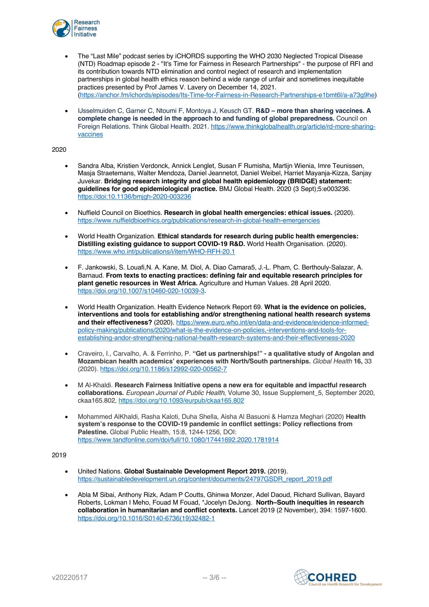

- The "Last Mile" podcast series by iCHORDS supporting the WHO 2030 Neglected Tropical Disease (NTD) Roadmap episode 2 - "It's Time for Fairness in Research Partnerships" - the purpose of RFI and its contribution towards NTD elimination and control neglect of research and implementation partnerships in global health ethics reason behind a wide range of unfair and sometimes inequitable practices presented by Prof James V. Lavery on December 14, 2021. (https://anchor.fm/ichords/episodes/Its-Time-for-Fairness-in-Research-Partnerships-e1bmt6l/a-a73g9he)
- IJsselmuiden C, Garner C, Ntoumi F, Montoya J, Keusch GT. **R&D – more than sharing vaccines. A complete change is needed in the approach to and funding of global preparedness.** Council on Foreign Relations. Think Global Health. 2021. https://www.thinkglobalhealth.org/article/rd-more-sharingvaccines

- Sandra Alba, Kristien Verdonck, Annick Lenglet, Susan F Rumisha, Martijn Wienia, Imre Teunissen, Masja Straetemans, Walter Mendoza, Daniel Jeannetot, Daniel Weibel, Harriet Mayanja-Kizza, Sanjay Juvekar. **Bridging research integrity and global health epidemiology (BRIDGE) statement: guidelines for good epidemiological practice.** BMJ Global Health. 2020 (3 Sept);5:e003236. https://doi:10.1136/bmjgh-2020-003236
- Nuffield Council on Bioethics. **Research in global health emergencies: ethical issues.** (2020). https://www.nuffieldbioethics.org/publications/research-in-global-health-emergencies
- World Health Organization. **Ethical standards for research during public health emergencies: Distilling existing guidance to support COVID-19 R&D.** World Health Organisation. (2020). https://www.who.int/publications/i/item/WHO-RFH-20.1
- F. Jankowski, S. Louafi,N. A. Kane, M. Diol, A. Diao Camara5, J.‑L. Pham, C. Berthouly‑Salazar, A. Barnaud. **From texts to enacting practices: defining fair and equitable research principles for plant genetic resources in West Africa.** Agriculture and Human Values. 28 April 2020. https://doi.org/10.1007/s10460-020-10039-3.
- World Health Organization. Health Evidence Network Report 69. **What is the evidence on policies, interventions and tools for establishing and/or strengthening national health research systems and their effectiveness?** (2020). https://www.euro.who.int/en/data-and-evidence/evidence-informedpolicy-making/publications/2020/what-is-the-evidence-on-policies,-interventions-and-tools-forestablishing-andor-strengthening-national-health-research-systems-and-their-effectiveness-2020
- Craveiro, I., Carvalho, A. & Ferrinho, P. **"Get us partnerships!" - a qualitative study of Angolan and Mozambican health academics' experiences with North/South partnerships.** *Global Health* **16,** 33 (2020). https://doi.org/10.1186/s12992-020-00562-7
- M Al-Khaldi. **Research Fairness Initiative opens a new era for equitable and impactful research collaborations.** *European Journal of Public Health*, Volume 30, Issue Supplement\_5, September 2020, ckaa165.802, https://doi.org/10.1093/eurpub/ckaa165.802
- Mohammed AlKhaldi, Rasha Kaloti, Duha Shella, Aisha Al Basuoni & Hamza Meghari (2020) **Health system's response to the COVID-19 pandemic in conflict settings: Policy reflections from Palestine.** Global Public Health, 15:8, 1244-1256, DOI: https://www.tandfonline.com/doi/full/10.1080/17441692.2020.1781914

- United Nations. **Global Sustainable Development Report 2019.** (2019). https://sustainabledevelopment.un.org/content/documents/24797GSDR\_report\_2019.pdf
- Abla M Sibai, Anthony Rizk, Adam P Coutts, Ghinwa Monzer, Adel Daoud, Richard Sullivan, Bayard Roberts, Lokman I Meho, Fouad M Fouad, \*Jocelyn DeJong. **North–South inequities in research collaboration in humanitarian and conflict contexts.** Lancet 2019 (2 November), 394: 1597-1600. https://doi.org/10.1016/S0140-6736(19)32482-1

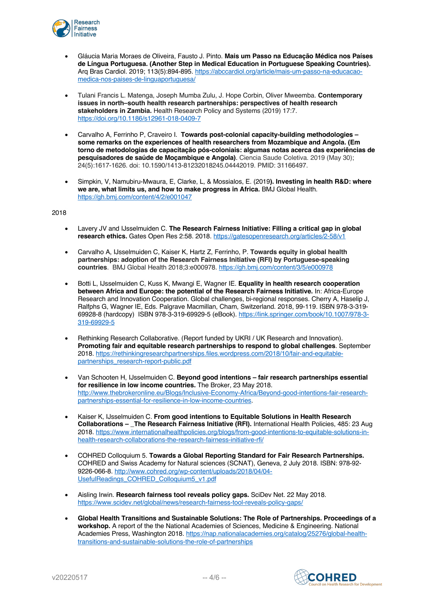

- Gláucia Maria Moraes de Oliveira, Fausto J. Pinto. **Mais um Passo na Educação Médica nos Países de Língua Portuguesa. (Another Step in Medical Education in Portuguese Speaking Countries).**  Arq Bras Cardiol. 2019; 113(5):894-895. https://abccardiol.org/article/mais-um-passo-na-educacaomedica-nos-paises-de-linguaportuguesa/
- Tulani Francis L. Matenga, Joseph Mumba Zulu, J. Hope Corbin, Oliver Mweemba. **Contemporary issues in north–south health research partnerships: perspectives of health research stakeholders in Zambia.** Health Research Policy and Systems (2019) 17:7. https://doi.org/10.1186/s12961-018-0409-7
- Carvalho A, Ferrinho P, Craveiro I. **Towards post-colonial capacity-building methodologies – some remarks on the experiences of health researchers from Mozambique and Angola. (Em torno de metodologias de capacitação pós-coloniais: algumas notas acerca das experiências de pesquisadores de saúde de Moçambique e Angola)**. Ciencia Saude Coletiva. 2019 (May 30); 24(5):1617-1626. doi: 10.1590/1413-81232018245.04442019. PMID: 31166497.
- Simpkin, V, Namubiru-Mwaura, E, Clarke, L, & Mossialos, E. (2019**). Investing in health R&D: where we are, what limits us, and how to make progress in Africa.** BMJ Global Health. https://gh.bmj.com/content/4/2/e001047

- Lavery JV and IJsselmuiden C. **The Research Fairness Initiative: Filling a critical gap in global research ethics.** Gates Open Res 2:58. 2018. https://gatesopenresearch.org/articles/2-58/v1
- Carvalho A, IJsselmuiden C, Kaiser K, Hartz Z, Ferrinho, P. **Towards equity in global health partnerships: adoption of the Research Fairness Initiative (RFI) by Portuguese-speaking countries**. BMJ Global Health 2018;3:e000978. https://gh.bmj.com/content/3/5/e000978
- Botti L, IJsselmuiden C, Kuss K, Mwangi E, Wagner IE. **Equality in health research cooperation between Africa and Europe: the potential of the Research Fairness Initiative.** In: Africa-Europe Research and Innovation Cooperation. Global challenges, bi-regional responses. Cherry A, Haselip J, Ralfphs G, Wagner IE, Eds. Palgrave Macmillan, Cham, Switzerland. 2018, 99-119. ISBN 978-3-319- 69928-8 (hardcopy) ISBN 978-3-319-69929-5 (eBook). https://link.springer.com/book/10.1007/978-3- 319-69929-5
- Rethinking Research Collaborative. (Report funded by UKRI / UK Research and Innovation). **Promoting fair and equitable research partnerships to respond to global challenges**. September 2018. https://rethinkingresearchpartnerships.files.wordpress.com/2018/10/fair-and-equitablepartnerships\_research-report-public.pdf
- Van Schooten H, IJsselmuiden C. **Beyond good intentions – fair research partnerships essential for resilience in low income countries.** The Broker, 23 May 2018. http://www.thebrokeronline.eu/Blogs/Inclusive-Economy-Africa/Beyond-good-intentions-fair-researchpartnerships-essential-for-resilience-in-low-income-countries.
- Kaiser K, IJsselmuiden C. **From good intentions to Equitable Solutions in Health Research Collaborations – \_The Research Fairness Initiative (RFI).** International Health Policies, 485: 23 Aug 2018. https://www.internationalhealthpolicies.org/blogs/from-good-intentions-to-equitable-solutions-inhealth-research-collaborations-the-research-fairness-initiative-rfi/
- COHRED Colloquium 5. **Towards a Global Reporting Standard for Fair Research Partnerships.** COHRED and Swiss Academy for Natural sciences (SCNAT), Geneva, 2 July 2018. ISBN: 978-92- 9226-066-8. http://www.cohred.org/wp-content/uploads/2018/04/04- UsefulReadings\_COHRED\_Colloquium5\_v1.pdf
- Aisling Irwin. **Research fairness tool reveals policy gaps.** SciDev Net. 22 May 2018. https://www.scidev.net/global/news/research-fairness-tool-reveals-policy-gaps/
- **Global Health Transitions and Sustainable Solutions: The Role of Partnerships. Proceedings of a workshop.** A report of the the National Academies of Sciences, Medicine & Engineering. National Academies Press, Washington 2018. https://nap.nationalacademies.org/catalog/25276/global-healthtransitions-and-sustainable-solutions-the-role-of-partnerships

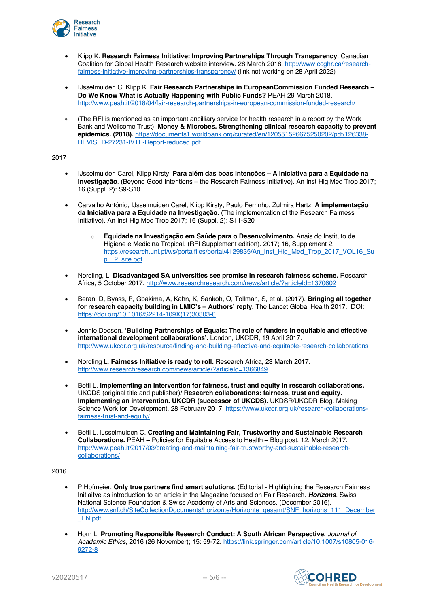

- Klipp K. **Research Fairness Initiative: Improving Partnerships Through Transparency**. Canadian Coalition for Global Health Research website interview. 28 March 2018. http://www.ccghr.ca/researchfairness-initiative-improving-partnerships-transparency/ (link not working on 28 April 2022)
- IJsselmuiden C, Klipp K. **Fair Research Partnerships in EuropeanCommission Funded Research – Do We Know What is Actually Happening with Public Funds?** PEAH 29 March 2018. http://www.peah.it/2018/04/fair-research-partnerships-in-european-commission-funded-research/
- (The RFI is mentioned as an important ancilliary service for health research in a report by the Work Bank and Wellcome Trust). **Money & Microbes. Strengthening clinical research capacity to prevent epidemics. (2018).** https://documents1.worldbank.org/curated/en/120551526675250202/pdf/126338- REVISED-27231-IVTF-Report-reduced.pdf

- IJsselmuiden Carel, Klipp Kirsty. **Para além das boas intenções – A Iniciativa para a Equidade na Investigação**. (Beyond Good Intentions – the Research Fairness Initiative). An Inst Hig Med Trop 2017; 16 (Suppl. 2): S9-S10
- Carvalho António, IJsselmuiden Carel, Klipp Kirsty, Paulo Ferrinho, Zulmira Hartz. **A implementação da Iniciativa para a Equidade na Investigação**. (The implementation of the Research Fairness Initiative). An Inst Hig Med Trop 2017; 16 (Suppl. 2): S11-S20
	- o **Equidade na Investigação em Saúde para o Desenvolvimento.** Anais do Instituto de Higiene e Medicina Tropical. (RFI Supplement edition). 2017; 16, Supplement 2. https://research.unl.pt/ws/portalfiles/portal/4129835/An\_Inst\_Hig\_Med\_Trop\_2017\_VOL16\_Su pl. 2 site.pdf
- Nordling, L. **Disadvantaged SA universities see promise in research fairness scheme.** Research Africa, 5 October 2017. http://www.researchresearch.com/news/article/?articleId=1370602
- Beran, D, Byass, P, Gbakima, A, Kahn, K, Sankoh, O, Tollman, S, et al. (2017). **Bringing all together for research capacity building in LMIC's – Authors' reply.** The Lancet Global Health 2017. DOI: https://doi.org/10.1016/S2214-109X(17)30303-0
- Jennie Dodson. **'Building Partnerships of Equals: The role of funders in equitable and effective international development collaborations'.** London, UKCDR, 19 April 2017. http://www.ukcdr.org.uk/resource/finding-and-building-effective-and-equitable-research-collaborations
- Nordling L. **Fairness Initiative is ready to roll.** Research Africa, 23 March 2017. http://www.researchresearch.com/news/article/?articleId=1366849
- Botti L. **Implementing an intervention for fairness, trust and equity in research collaborations.** UKCDS (original title and publisher)/ **Research collaborations: fairness, trust and equity. Implementing an intervention. UKCDR (successor of UKCDS).** UKDSR/UKCDR Blog. Making Science Work for Development. 28 February 2017. https://www.ukcdr.org.uk/research-collaborationsfairness-trust-and-equity/
- Botti L, IJsselmuiden C. **Creating and Maintaining Fair, Trustworthy and Sustainable Research Collaborations.** PEAH – Policies for Equitable Access to Health – Blog post. 12. March 2017. http://www.peah.it/2017/03/creating-and-maintaining-fair-trustworthy-and-sustainable-researchcollaborations/

- P Hofmeier. **Only true partners find smart solutions.** (Editorial Highlighting the Research Fairness Initiaitve as introduction to an article in the Magazine focused on Fair Research. *Horizons.* Swiss National Science Foundation & Swiss Academy of Arts and Sciences. (December 2016). http://www.snf.ch/SiteCollectionDocuments/horizonte/Horizonte\_gesamt/SNF\_horizons\_111\_December \_EN.pdf
- Horn L. **Promoting Responsible Research Conduct: A South African Perspective.** *Journal of Academic Ethics,* 2016 (26 November); 15: 59-72. https://link.springer.com/article/10.1007/s10805-016- 9272-8